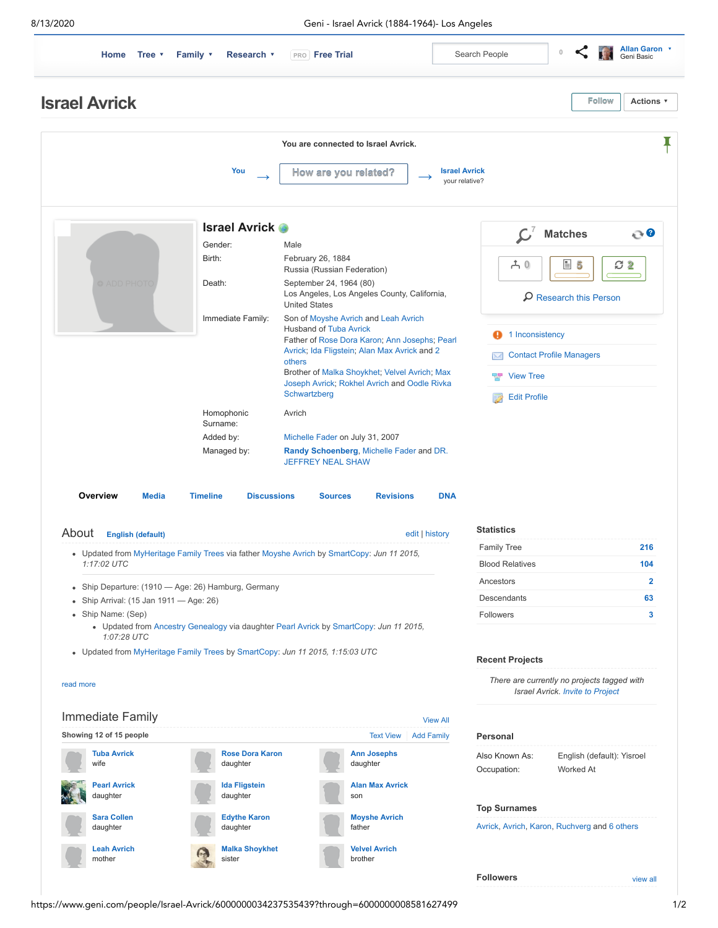8/13/2020 Geni - Israel Avrick (1884-1964)- Los Angeles



- Updated from [MyHeritage Family Trees](http://www.myheritage.com/research/collection-1/myheritage-family-trees?itemId=35331-3-4&action=showRecord&indId=externalindividual-18251311822c15643b283052088f7413&mrid=55894e8ccd7f95a810f147285b48d7d5) via father [Moyshe Avrich](https://www.geni.com/people/Moyshe-Avrich/6000000078143129745) by [SmartCopy:](https://www.geni.com/projects/SmartCopy/18783) *Jun 11 2015, 1:17:02 UTC*
- Ship Departure: (1910 Age: 26) Hamburg, Germany
- Ship Arrival: (15 Jan 1911 Age: 26)
- Ship Name: (Sep)

read more

- Updated from [Ancestry Genealogy](http://trees.ancestry.com/tree/71433207/person/44238754665) via daughter [Pearl Avrick](https://www.geni.com/people/Pearl-Avrick/5623032426860061862) by [SmartCopy:](https://www.geni.com/projects/SmartCopy/18783) *Jun 11 2015, 1:07:28 UTC*
- Updated from [MyHeritage Family Trees](http://www.myheritage.com/research/collection-1/myheritage-family-trees?itemId=244356371-1-62&action=showRecord&indId=externalindividual-e79612ff443a650b52344561afec2d0e&mrid=3e62fbfa48d233e39934e4321413aff7) by [SmartCopy](https://www.geni.com/projects/SmartCopy/18783): *Jun 11 2015, 1:15:03 UTC*



| <b>Statistics</b>      |     |
|------------------------|-----|
| <b>Family Tree</b>     | 216 |
| <b>Blood Relatives</b> | 104 |
| Ancestors              |     |
| Descendants            | 63  |
| Followers              |     |

## **Recent Projects**

*There are currently no projects tagged with Israel Avrick. [Invite to Project](https://www.geni.com/profile/project_options_lb/6000000034237535439)*

| Personal            |                            |
|---------------------|----------------------------|
| Also Known As:      | English (default): Yisroel |
| Occupation:         | Worked At                  |
|                     |                            |
| <b>Top Surnames</b> |                            |

[Avrick](https://www.geni.com/surnames/avrick), [Avrich](https://www.geni.com/surnames/avrich), [Karon,](https://www.geni.com/surnames/karon) [Ruchverg](https://www.geni.com/surnames/ruchverg) and 6 others

**Followers**

https://www.geni.com/people/Israel-Avrick/6000000034237535439?through=6000000008581627499 1/2

[view all](https://www.geni.com/list/followers/6000000034237535439)